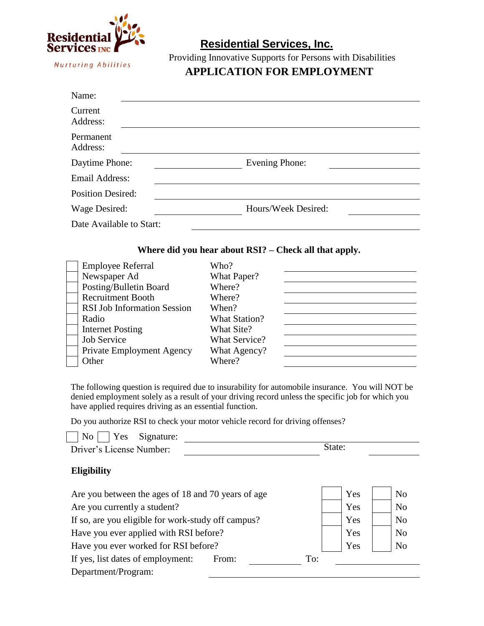

Providing Innovative Supports for Persons with Disabilities

# **APPLICATION FOR EMPLOYMENT**

| Name:                    |                     |
|--------------------------|---------------------|
| Current<br>Address:      |                     |
| Permanent<br>Address:    |                     |
| Daytime Phone:           | Evening Phone:      |
| Email Address:           |                     |
| <b>Position Desired:</b> |                     |
| Wage Desired:            | Hours/Week Desired: |
| Date Available to Start: |                     |

## **Where did you hear about RSI? – Check all that apply.**

| <b>Employee Referral</b>           | Who?                 |  |
|------------------------------------|----------------------|--|
| Newspaper Ad                       | What Paper?          |  |
| Posting/Bulletin Board             | Where?               |  |
| <b>Recruitment Booth</b>           | Where?               |  |
| <b>RSI Job Information Session</b> | When?                |  |
| Radio                              | <b>What Station?</b> |  |
| <b>Internet Posting</b>            | What Site?           |  |
| <b>Job Service</b>                 | <b>What Service?</b> |  |
| Private Employment Agency          | What Agency?         |  |
| Other                              | Where?               |  |

The following question is required due to insurability for automobile insurance. You will NOT be denied employment solely as a result of your driving record unless the specific job for which you have applied requires driving as an essential function.

Do you authorize RSI to check your motor vehicle record for driving offenses?

|                          | $\vert$ No $\vert$ Yes Signature: |        |
|--------------------------|-----------------------------------|--------|
| Driver's License Number: |                                   | State: |

## **Eligibility**

| Are you between the ages of 18 and 70 years of age | Yes | N <sub>0</sub> |
|----------------------------------------------------|-----|----------------|
| Are you currently a student?                       | Yes | N <sub>0</sub> |
| If so, are you eligible for work-study off campus? | Yes | N <sub>0</sub> |
| Have you ever applied with RSI before?             | Yes | <b>No</b>      |
| Have you ever worked for RSI before?               | Yes | N <sub>0</sub> |
| If yes, list dates of employment:<br>To:<br>From:  |     |                |
| Department/Program:                                |     |                |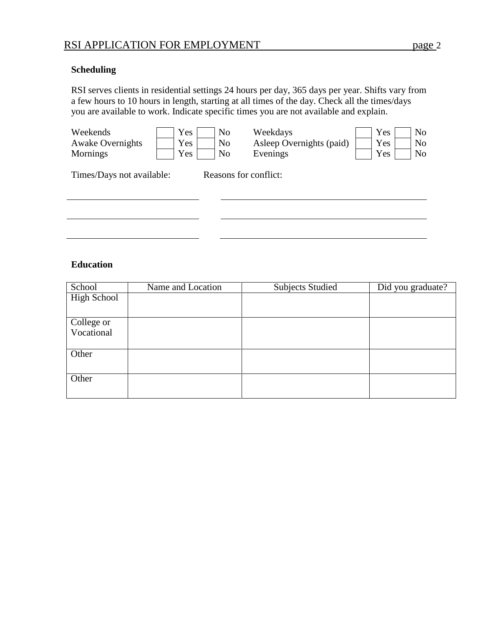## **Scheduling**

RSI serves clients in residential settings 24 hours per day, 365 days per year. Shifts vary from a few hours to 10 hours in length, starting at all times of the day. Check all the times/days you are available to work. Indicate specific times you are not available and explain.

| Weekends<br><b>Awake Overnights</b><br>Mornings | Yes<br>Yes<br>Yes | N <sub>o</sub><br>N <sub>o</sub><br>N <sub>o</sub> | Weekdays<br>Asleep Overnights (paid)<br>Evenings | Yes<br>Yes<br>Yes | N <sub>o</sub><br>N <sub>o</sub><br>N <sub>o</sub> |
|-------------------------------------------------|-------------------|----------------------------------------------------|--------------------------------------------------|-------------------|----------------------------------------------------|
| Times/Days not available:                       |                   | Reasons for conflict:                              |                                                  |                   |                                                    |
|                                                 |                   |                                                    |                                                  |                   |                                                    |
|                                                 |                   |                                                    |                                                  |                   |                                                    |

## **Education**

| School             | Name and Location | <b>Subjects Studied</b> | Did you graduate? |
|--------------------|-------------------|-------------------------|-------------------|
| <b>High School</b> |                   |                         |                   |
|                    |                   |                         |                   |
| College or         |                   |                         |                   |
| Vocational         |                   |                         |                   |
|                    |                   |                         |                   |
| Other              |                   |                         |                   |
|                    |                   |                         |                   |
| Other              |                   |                         |                   |
|                    |                   |                         |                   |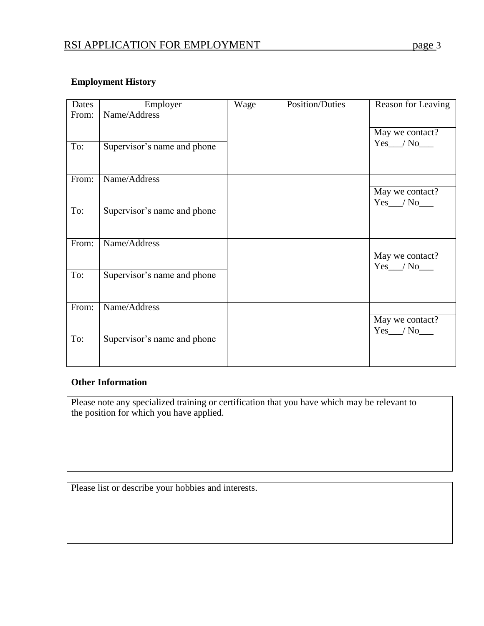## **Employment History**

| Dates | Employer                    | Wage | Position/Duties | Reason for Leaving |
|-------|-----------------------------|------|-----------------|--------------------|
| From: | Name/Address                |      |                 |                    |
| To:   | Supervisor's name and phone |      |                 | May we contact?    |
| From: | Name/Address                |      |                 |                    |
|       |                             |      |                 | May we contact?    |
| To:   | Supervisor's name and phone |      |                 |                    |
|       |                             |      |                 |                    |
| From: | Name/Address                |      |                 |                    |
|       |                             |      |                 | May we contact?    |
| To:   | Supervisor's name and phone |      |                 |                    |
|       |                             |      |                 |                    |
| From: | Name/Address                |      |                 |                    |
|       |                             |      |                 | May we contact?    |
| To:   | Supervisor's name and phone |      |                 |                    |
|       |                             |      |                 |                    |

## **Other Information**

Please note any specialized training or certification that you have which may be relevant to the position for which you have applied.

Please list or describe your hobbies and interests.